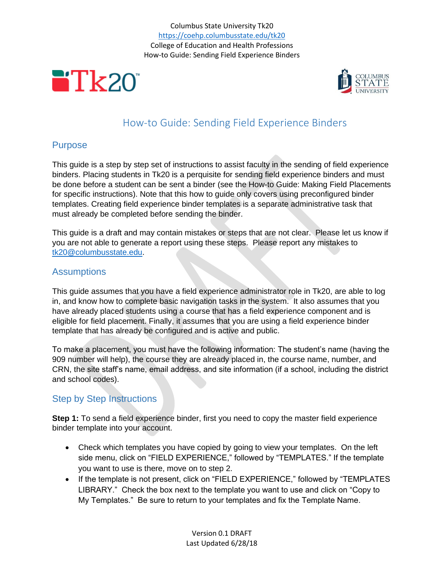



## How-to Guide: Sending Field Experience Binders

## Purpose

This guide is a step by step set of instructions to assist faculty in the sending of field experience binders. Placing students in Tk20 is a perquisite for sending field experience binders and must be done before a student can be sent a binder (see the How-to Guide: Making Field Placements for specific instructions). Note that this how to guide only covers using preconfigured binder templates. Creating field experience binder templates is a separate administrative task that must already be completed before sending the binder.

This guide is a draft and may contain mistakes or steps that are not clear. Please let us know if you are not able to generate a report using these steps. Please report any mistakes to [tk20@columbusstate.edu.](mailto:tk20@columbusstate.edu)

## **Assumptions**

This guide assumes that you have a field experience administrator role in Tk20, are able to log in, and know how to complete basic navigation tasks in the system. It also assumes that you have already placed students using a course that has a field experience component and is eligible for field placement. Finally, it assumes that you are using a field experience binder template that has already be configured and is active and public.

To make a placement, you must have the following information: The student's name (having the 909 number will help), the course they are already placed in, the course name, number, and CRN, the site staff's name, email address, and site information (if a school, including the district and school codes).

## Step by Step Instructions

**Step 1:** To send a field experience binder, first you need to copy the master field experience binder template into your account.

- Check which templates you have copied by going to view your templates. On the left side menu, click on "FIELD EXPERIENCE," followed by "TEMPLATES." If the template you want to use is there, move on to step 2.
- If the template is not present, click on "FIELD EXPERIENCE," followed by "TEMPLATES LIBRARY." Check the box next to the template you want to use and click on "Copy to My Templates." Be sure to return to your templates and fix the Template Name.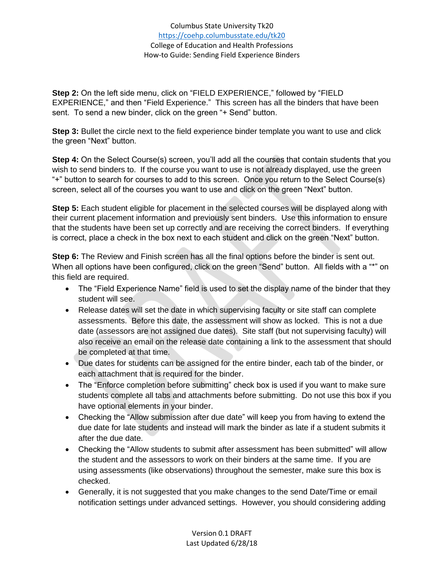**Step 2:** On the left side menu, click on "FIELD EXPERIENCE," followed by "FIELD EXPERIENCE," and then "Field Experience." This screen has all the binders that have been sent. To send a new binder, click on the green "+ Send" button.

**Step 3:** Bullet the circle next to the field experience binder template you want to use and click the green "Next" button.

**Step 4:** On the Select Course(s) screen, you'll add all the courses that contain students that you wish to send binders to. If the course you want to use is not already displayed, use the green "+" button to search for courses to add to this screen. Once you return to the Select Course(s) screen, select all of the courses you want to use and click on the green "Next" button.

**Step 5:** Each student eligible for placement in the selected courses will be displayed along with their current placement information and previously sent binders. Use this information to ensure that the students have been set up correctly and are receiving the correct binders. If everything is correct, place a check in the box next to each student and click on the green "Next" button.

**Step 6:** The Review and Finish screen has all the final options before the binder is sent out. When all options have been configured, click on the green "Send" button. All fields with a "\*" on this field are required.

- The "Field Experience Name" field is used to set the display name of the binder that they student will see.
- Release dates will set the date in which supervising faculty or site staff can complete assessments. Before this date, the assessment will show as locked. This is not a due date (assessors are not assigned due dates). Site staff (but not supervising faculty) will also receive an email on the release date containing a link to the assessment that should be completed at that time.
- Due dates for students can be assigned for the entire binder, each tab of the binder, or each attachment that is required for the binder.
- The "Enforce completion before submitting" check box is used if you want to make sure students complete all tabs and attachments before submitting. Do not use this box if you have optional elements in your binder.
- Checking the "Allow submission after due date" will keep you from having to extend the due date for late students and instead will mark the binder as late if a student submits it after the due date.
- Checking the "Allow students to submit after assessment has been submitted" will allow the student and the assessors to work on their binders at the same time. If you are using assessments (like observations) throughout the semester, make sure this box is checked.
- Generally, it is not suggested that you make changes to the send Date/Time or email notification settings under advanced settings. However, you should considering adding